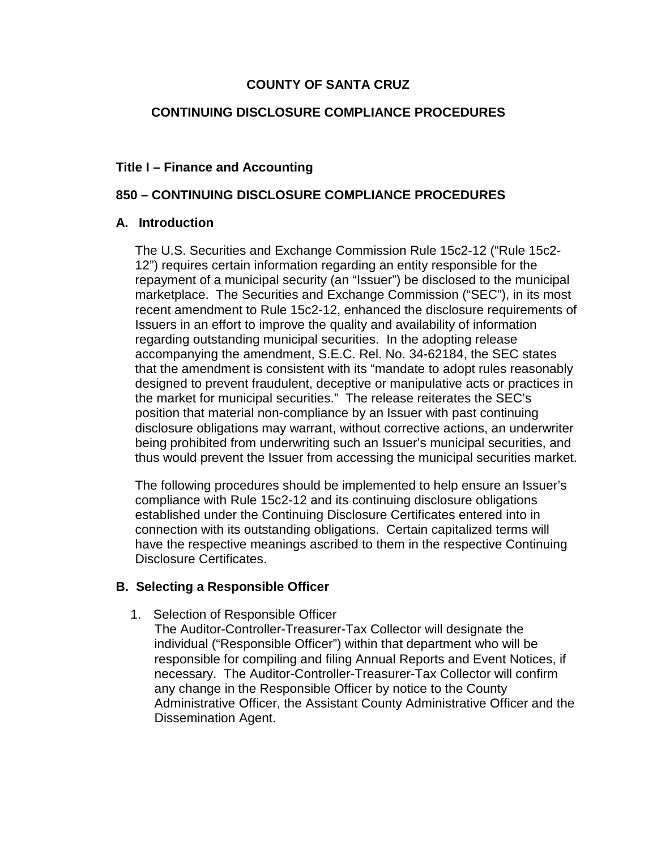## **COUNTY OF SANTA CRUZ**

## **CONTINUING DISCLOSURE COMPLIANCE PROCEDURES**

### **Title I – Finance and Accounting**

### **850 – CONTINUING DISCLOSURE COMPLIANCE PROCEDURES**

#### **A. Introduction**

The U.S. Securities and Exchange Commission Rule 15c2-12 ("Rule 15c2- 12") requires certain information regarding an entity responsible for the repayment of a municipal security (an "Issuer") be disclosed to the municipal marketplace. The Securities and Exchange Commission ("SEC"), in its most recent amendment to Rule 15c2-12, enhanced the disclosure requirements of Issuers in an effort to improve the quality and availability of information regarding outstanding municipal securities. In the adopting release accompanying the amendment, S.E.C. Rel. No. 34-62184, the SEC states that the amendment is consistent with its "mandate to adopt rules reasonably designed to prevent fraudulent, deceptive or manipulative acts or practices in the market for municipal securities." The release reiterates the SEC's position that material non-compliance by an Issuer with past continuing disclosure obligations may warrant, without corrective actions, an underwriter being prohibited from underwriting such an Issuer's municipal securities, and thus would prevent the Issuer from accessing the municipal securities market.

The following procedures should be implemented to help ensure an Issuer's compliance with Rule 15c2-12 and its continuing disclosure obligations established under the Continuing Disclosure Certificates entered into in connection with its outstanding obligations. Certain capitalized terms will have the respective meanings ascribed to them in the respective Continuing Disclosure Certificates.

#### **B. Selecting a Responsible Officer**

1. Selection of Responsible Officer

The Auditor-Controller-Treasurer-Tax Collector will designate the individual ("Responsible Officer") within that department who will be responsible for compiling and filing Annual Reports and Event Notices, if necessary. The Auditor-Controller-Treasurer-Tax Collector will confirm any change in the Responsible Officer by notice to the County Administrative Officer, the Assistant County Administrative Officer and the Dissemination Agent.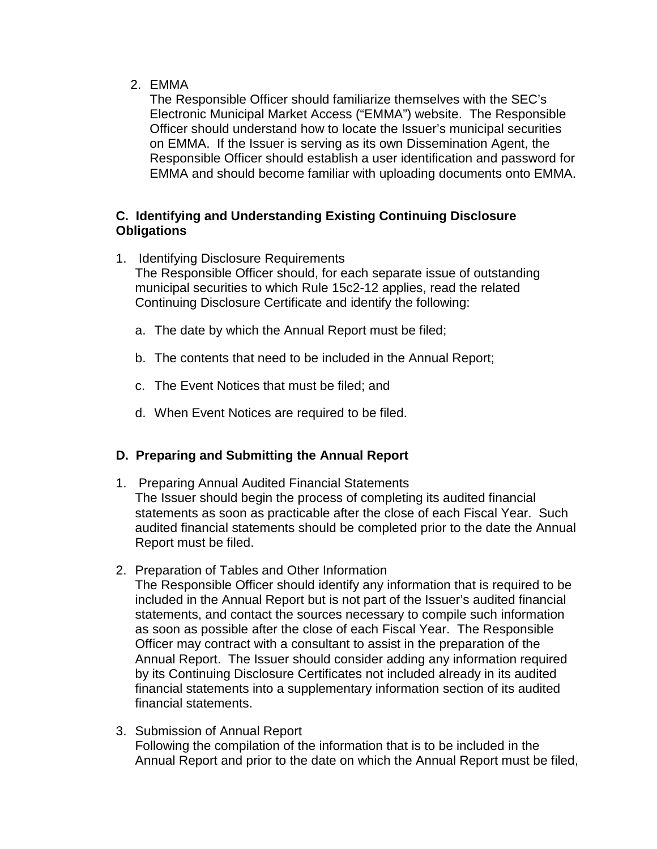2. EMMA

The Responsible Officer should familiarize themselves with the SEC's Electronic Municipal Market Access ("EMMA") website. The Responsible Officer should understand how to locate the Issuer's municipal securities on EMMA. If the Issuer is serving as its own Dissemination Agent, the Responsible Officer should establish a user identification and password for EMMA and should become familiar with uploading documents onto EMMA.

## **C. Identifying and Understanding Existing Continuing Disclosure Obligations**

- 1. Identifying Disclosure Requirements The Responsible Officer should, for each separate issue of outstanding municipal securities to which Rule 15c2-12 applies, read the related Continuing Disclosure Certificate and identify the following:
	- a. The date by which the Annual Report must be filed;
	- b. The contents that need to be included in the Annual Report;
	- c. The Event Notices that must be filed; and
	- d. When Event Notices are required to be filed.

# **D. Preparing and Submitting the Annual Report**

- 1. Preparing Annual Audited Financial Statements The Issuer should begin the process of completing its audited financial statements as soon as practicable after the close of each Fiscal Year. Such audited financial statements should be completed prior to the date the Annual Report must be filed.
- 2. Preparation of Tables and Other Information The Responsible Officer should identify any information that is required to be included in the Annual Report but is not part of the Issuer's audited financial statements, and contact the sources necessary to compile such information as soon as possible after the close of each Fiscal Year. The Responsible Officer may contract with a consultant to assist in the preparation of the Annual Report. The Issuer should consider adding any information required by its Continuing Disclosure Certificates not included already in its audited financial statements into a supplementary information section of its audited financial statements.
- 3. Submission of Annual Report Following the compilation of the information that is to be included in the Annual Report and prior to the date on which the Annual Report must be filed,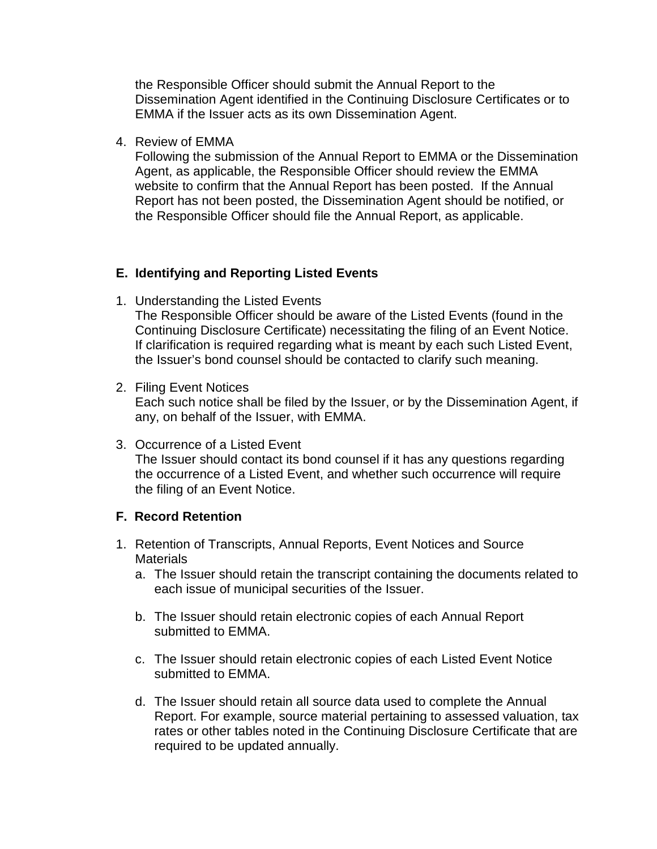the Responsible Officer should submit the Annual Report to the Dissemination Agent identified in the Continuing Disclosure Certificates or to EMMA if the Issuer acts as its own Dissemination Agent.

4. Review of EMMA

Following the submission of the Annual Report to EMMA or the Dissemination Agent, as applicable, the Responsible Officer should review the EMMA website to confirm that the Annual Report has been posted. If the Annual Report has not been posted, the Dissemination Agent should be notified, or the Responsible Officer should file the Annual Report, as applicable.

### **E. Identifying and Reporting Listed Events**

- 1. Understanding the Listed Events The Responsible Officer should be aware of the Listed Events (found in the Continuing Disclosure Certificate) necessitating the filing of an Event Notice. If clarification is required regarding what is meant by each such Listed Event, the Issuer's bond counsel should be contacted to clarify such meaning.
- 2. Filing Event Notices Each such notice shall be filed by the Issuer, or by the Dissemination Agent, if any, on behalf of the Issuer, with EMMA.
- 3. Occurrence of a Listed Event The Issuer should contact its bond counsel if it has any questions regarding the occurrence of a Listed Event, and whether such occurrence will require the filing of an Event Notice.

#### **F. Record Retention**

- 1. Retention of Transcripts, Annual Reports, Event Notices and Source **Materials** 
	- a. The Issuer should retain the transcript containing the documents related to each issue of municipal securities of the Issuer.
	- b. The Issuer should retain electronic copies of each Annual Report submitted to EMMA.
	- c. The Issuer should retain electronic copies of each Listed Event Notice submitted to EMMA.
	- d. The Issuer should retain all source data used to complete the Annual Report. For example, source material pertaining to assessed valuation, tax rates or other tables noted in the Continuing Disclosure Certificate that are required to be updated annually.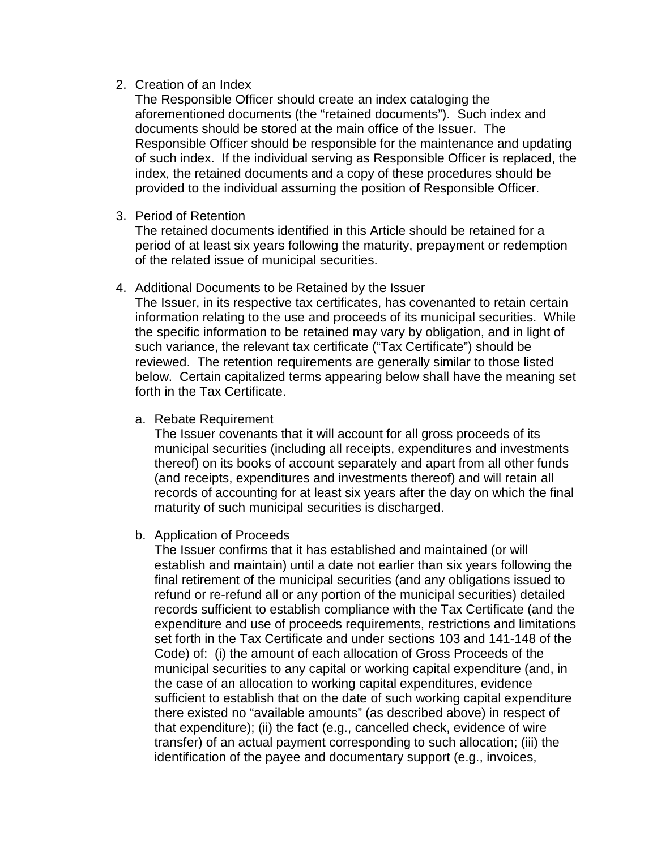#### 2. Creation of an Index

The Responsible Officer should create an index cataloging the aforementioned documents (the "retained documents"). Such index and documents should be stored at the main office of the Issuer. The Responsible Officer should be responsible for the maintenance and updating of such index. If the individual serving as Responsible Officer is replaced, the index, the retained documents and a copy of these procedures should be provided to the individual assuming the position of Responsible Officer.

3. Period of Retention

The retained documents identified in this Article should be retained for a period of at least six years following the maturity, prepayment or redemption of the related issue of municipal securities.

# 4. Additional Documents to be Retained by the Issuer

The Issuer, in its respective tax certificates, has covenanted to retain certain information relating to the use and proceeds of its municipal securities. While the specific information to be retained may vary by obligation, and in light of such variance, the relevant tax certificate ("Tax Certificate") should be reviewed. The retention requirements are generally similar to those listed below. Certain capitalized terms appearing below shall have the meaning set forth in the Tax Certificate.

a. Rebate Requirement

The Issuer covenants that it will account for all gross proceeds of its municipal securities (including all receipts, expenditures and investments thereof) on its books of account separately and apart from all other funds (and receipts, expenditures and investments thereof) and will retain all records of accounting for at least six years after the day on which the final maturity of such municipal securities is discharged.

b. Application of Proceeds

The Issuer confirms that it has established and maintained (or will establish and maintain) until a date not earlier than six years following the final retirement of the municipal securities (and any obligations issued to refund or re-refund all or any portion of the municipal securities) detailed records sufficient to establish compliance with the Tax Certificate (and the expenditure and use of proceeds requirements, restrictions and limitations set forth in the Tax Certificate and under sections 103 and 141-148 of the Code) of: (i) the amount of each allocation of Gross Proceeds of the municipal securities to any capital or working capital expenditure (and, in the case of an allocation to working capital expenditures, evidence sufficient to establish that on the date of such working capital expenditure there existed no "available amounts" (as described above) in respect of that expenditure); (ii) the fact (e.g., cancelled check, evidence of wire transfer) of an actual payment corresponding to such allocation; (iii) the identification of the payee and documentary support (e.g., invoices,